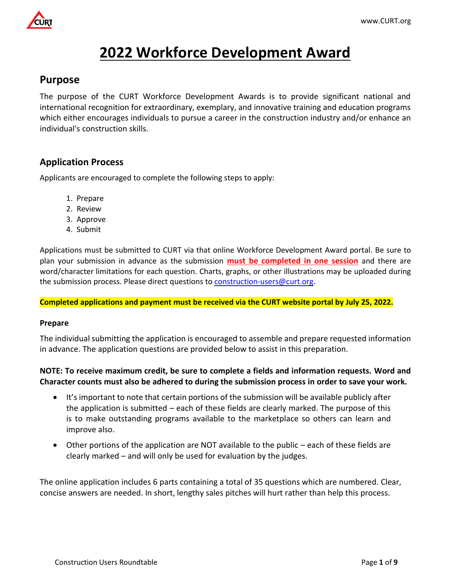

# **2022 Workforce Development Award**

# **Purpose**

The purpose of the CURT Workforce Development Awards is to provide significant national and international recognition for extraordinary, exemplary, and innovative training and education programs which either encourages individuals to pursue a career in the construction industry and/or enhance an individual's construction skills.

# **Application Process**

Applicants are encouraged to complete the following steps to apply:

- 1. Prepare
- 2. Review
- 3. Approve
- 4. Submit

Applications must be submitted to CURT via that online Workforce Development Award portal. Be sure to plan your submission in advance as the submission **must be completed in one session** and there are word/character limitations for each question. Charts, graphs, or other illustrations may be uploaded during the submission process. Please direct questions to [construction-users@curt.org.](mailto:construction-users@curt.org)

**Completed applications and payment must be received via the CURT website portal by July 25, 2022.**

#### **Prepare**

The individual submitting the application is encouraged to assemble and prepare requested information in advance. The application questions are provided below to assist in this preparation.

## **NOTE: To receive maximum credit, be sure to complete a fields and information requests. Word and Character counts must also be adhered to during the submission process in order to save your work.**

- It's important to note that certain portions of the submission will be available publicly after the application is submitted – each of these fields are clearly marked. The purpose of this is to make outstanding programs available to the marketplace so others can learn and improve also.
- Other portions of the application are NOT available to the public each of these fields are clearly marked – and will only be used for evaluation by the judges.

The online application includes 6 parts containing a total of 35 questions which are numbered. Clear, concise answers are needed. In short, lengthy sales pitches will hurt rather than help this process.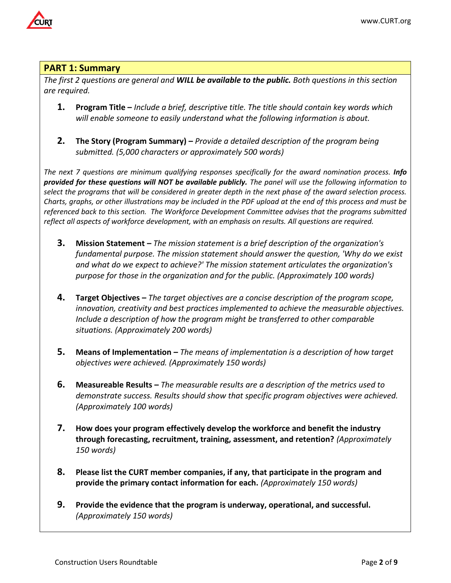

# **PART 1: Summary**

*The first 2 questions are general and WILL be available to the public. Both questions in this section are required.* 

- **1. Program Title –** *Include a brief, descriptive title. The title should contain key words which will enable someone to easily understand what the following information is about.*
- **2. The Story (Program Summary) –** *Provide a detailed description of the program being submitted. (5,000 characters or approximately 500 words)*

*The next 7 questions are minimum qualifying responses specifically for the award nomination process. Info provided for these questions will NOT be available publicly. The panel will use the following information to select the programs that will be considered in greater depth in the next phase of the award selection process. Charts, graphs, or other illustrations may be included in the PDF upload at the end of this process and must be referenced back to this section. The Workforce Development Committee advises that the programs submitted reflect all aspects of workforce development, with an emphasis on results. All questions are required.* 

- **3. Mission Statement –** *The mission statement is a brief description of the organization's fundamental purpose. The mission statement should answer the question, 'Why do we exist and what do we expect to achieve?' The mission statement articulates the organization's purpose for those in the organization and for the public. (Approximately 100 words)*
- **4. Target Objectives –** *The target objectives are a concise description of the program scope, innovation, creativity and best practices implemented to achieve the measurable objectives. Include a description of how the program might be transferred to other comparable situations. (Approximately 200 words)*
- **5.** Means of Implementation The means of implementation is a description of how target *objectives were achieved. (Approximately 150 words)*
- **6. Measureable Results –** *The measurable results are a description of the metrics used to demonstrate success. Results should show that specific program objectives were achieved. (Approximately 100 words)*
- **7. How does your program effectively develop the workforce and benefit the industry through forecasting, recruitment, training, assessment, and retention?** *(Approximately 150 words)*
- **8. Please list the CURT member companies, if any, that participate in the program and provide the primary contact information for each.** *(Approximately 150 words)*
- **9. Provide the evidence that the program is underway, operational, and successful.**  *(Approximately 150 words)*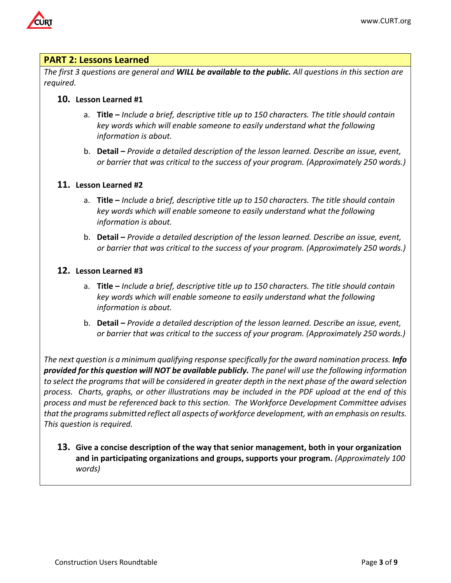

## **PART 2: Lessons Learned**

*The first 3 questions are general and WILL be available to the public. All questions in this section are required.*

#### **10. Lesson Learned #1**

- a. **Title –** *Include a brief, descriptive title up to 150 characters. The title should contain key words which will enable someone to easily understand what the following information is about.*
- b. **Detail –** *Provide a detailed description of the lesson learned. Describe an issue, event, or barrier that was critical to the success of your program. (Approximately 250 words.)*

#### **11. Lesson Learned #2**

- a. **Title –** *Include a brief, descriptive title up to 150 characters. The title should contain key words which will enable someone to easily understand what the following information is about.*
- b. **Detail –** *Provide a detailed description of the lesson learned. Describe an issue, event, or barrier that was critical to the success of your program. (Approximately 250 words.)*

## **12. Lesson Learned #3**

- a. **Title –** *Include a brief, descriptive title up to 150 characters. The title should contain key words which will enable someone to easily understand what the following information is about.*
- b. **Detail –** *Provide a detailed description of the lesson learned. Describe an issue, event, or barrier that was critical to the success of your program. (Approximately 250 words.)*

*The next question is a minimum qualifying response specifically for the award nomination process. Info provided for this question will NOT be available publicly. The panel will use the following information to select the programs that will be considered in greater depth in the next phase of the award selection process. Charts, graphs, or other illustrations may be included in the PDF upload at the end of this process and must be referenced back to this section. The Workforce Development Committee advises that the programs submitted reflect all aspects of workforce development, with an emphasis on results. This question is required.*

**13. Give a concise description of the way that senior management, both in your organization and in participating organizations and groups, supports your program.** *(Approximately 100 words)*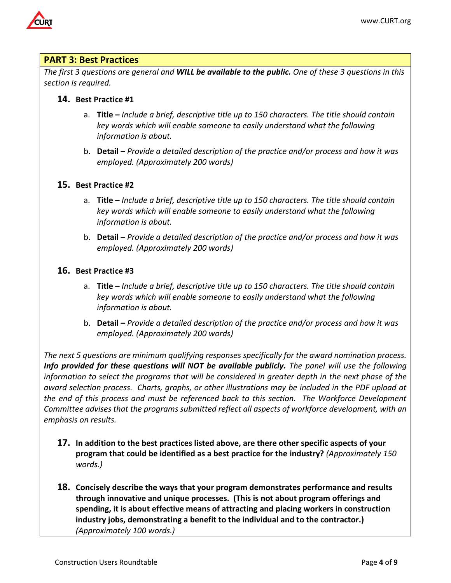

## **PART 3: Best Practices**

*The first 3 questions are general and WILL be available to the public. One of these 3 questions in this section is required.*

## **14. Best Practice #1**

- a. **Title –** *Include a brief, descriptive title up to 150 characters. The title should contain key words which will enable someone to easily understand what the following information is about.*
- b. **Detail –** *Provide a detailed description of the practice and/or process and how it was employed. (Approximately 200 words)*

## **15. Best Practice #2**

- a. **Title –** *Include a brief, descriptive title up to 150 characters. The title should contain key words which will enable someone to easily understand what the following information is about.*
- b. **Detail –** *Provide a detailed description of the practice and/or process and how it was employed. (Approximately 200 words)*

## **16. Best Practice #3**

- a. **Title –** *Include a brief, descriptive title up to 150 characters. The title should contain key words which will enable someone to easily understand what the following information is about.*
- b. **Detail –** *Provide a detailed description of the practice and/or process and how it was employed. (Approximately 200 words)*

*The next 5 questions are minimum qualifying responses specifically for the award nomination process. Info provided for these questions will NOT be available publicly. The panel will use the following information to select the programs that will be considered in greater depth in the next phase of the award selection process. Charts, graphs, or other illustrations may be included in the PDF upload at the end of this process and must be referenced back to this section. The Workforce Development Committee advises that the programs submitted reflect all aspects of workforce development, with an emphasis on results.*

- **17. In addition to the best practices listed above, are there other specific aspects of your program that could be identified as a best practice for the industry?** *(Approximately 150 words.)*
- **18. Concisely describe the ways that your program demonstrates performance and results through innovative and unique processes. (This is not about program offerings and spending, it is about effective means of attracting and placing workers in construction industry jobs, demonstrating a benefit to the individual and to the contractor.)**  *(Approximately 100 words.)*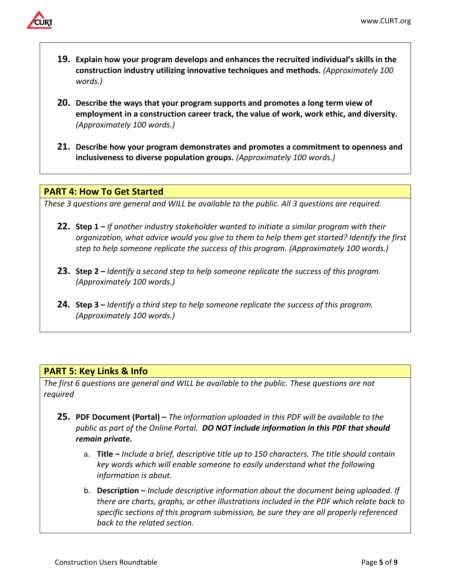

- **19. Explain how your program develops and enhances the recruited individual's skills in the construction industry utilizing innovative techniques and methods.** *(Approximately 100 words.)*
- **20. Describe the ways that your program supports and promotes a long term view of employment in a construction career track, the value of work, work ethic, and diversity.**  *(Approximately 100 words.)*
- **21. Describe how your program demonstrates and promotes a commitment to openness and inclusiveness to diverse population groups.** *(Approximately 100 words.)*

## **PART 4: How To Get Started**

*These 3 questions are general and WILL be available to the public. All 3 questions are required.*

- **22. Step 1 –** *If another industry stakeholder wanted to initiate a similar program with their organization, what advice would you give to them to help them get started? Identify the first step to help someone replicate the success of this program. (Approximately 100 words.)*
- **23. Step 2 –** *Identify a second step to help someone replicate the success of this program. (Approximately 100 words.)*
- **24. Step 3 –** *Identify a third step to help someone replicate the success of this program. (Approximately 100 words.)*

# **PART 5: Key Links & Info**

*The first 6 questions are general and WILL be available to the public. These questions are not required*

- **25. PDF Document (Portal) –** *The information uploaded in this PDF will be available to the public as part of the Online Portal. DO NOT include information in this PDF that should remain private.*
	- a. **Title –** *Include a brief, descriptive title up to 150 characters. The title should contain key words which will enable someone to easily understand what the following information is about.*
	- b. **Description –** *Include descriptive information about the document being uploaded. If there are charts, graphs, or other illustrations included in the PDF which relate back to specific sections of this program submission, be sure they are all properly referenced back to the related section.*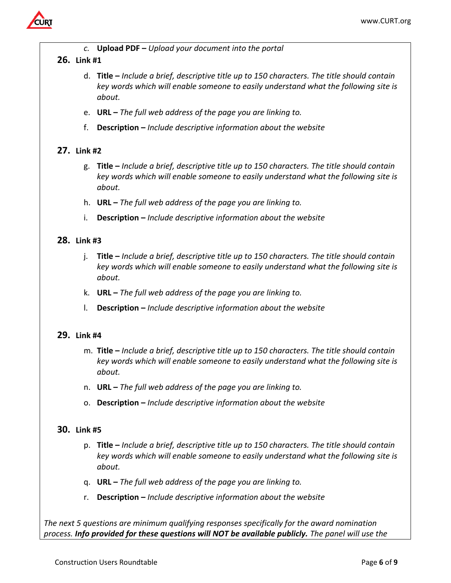

*c.* **Upload PDF –** *Upload your document into the portal* 

## **26. Link #1**

- d. **Title –** *Include a brief, descriptive title up to 150 characters. The title should contain key words which will enable someone to easily understand what the following site is about.*
- e. **URL –** *The full web address of the page you are linking to.*
- f. **Description –** *Include descriptive information about the website*

# **27. Link #2**

- g. **Title –** *Include a brief, descriptive title up to 150 characters. The title should contain key words which will enable someone to easily understand what the following site is about.*
- h. **URL –** *The full web address of the page you are linking to.*
- i. **Description –** *Include descriptive information about the website*

## **28. Link #3**

- j. **Title –** *Include a brief, descriptive title up to 150 characters. The title should contain key words which will enable someone to easily understand what the following site is about.*
- k. **URL –** *The full web address of the page you are linking to.*
- l. **Description –** *Include descriptive information about the website*

## **29. Link #4**

- m. **Title –** *Include a brief, descriptive title up to 150 characters. The title should contain key words which will enable someone to easily understand what the following site is about.*
- n. **URL –** *The full web address of the page you are linking to.*
- o. **Description –** *Include descriptive information about the website*

## **30. Link #5**

- p. **Title –** *Include a brief, descriptive title up to 150 characters. The title should contain key words which will enable someone to easily understand what the following site is about.*
- q. **URL –** *The full web address of the page you are linking to.*
- r. **Description –** *Include descriptive information about the website*

*The next 5 questions are minimum qualifying responses specifically for the award nomination process. Info provided for these questions will NOT be available publicly. The panel will use the*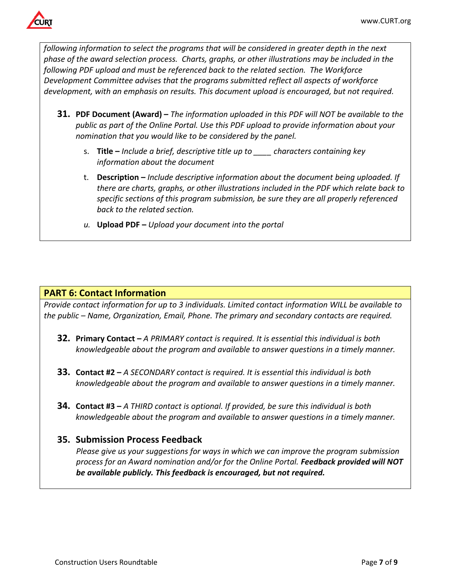

*following information to select the programs that will be considered in greater depth in the next phase of the award selection process. Charts, graphs, or other illustrations may be included in the following PDF upload and must be referenced back to the related section. The Workforce Development Committee advises that the programs submitted reflect all aspects of workforce development, with an emphasis on results. This document upload is encouraged, but not required.*

- **31. PDF Document (Award) –** *The information uploaded in this PDF will NOT be available to the public as part of the Online Portal. Use this PDF upload to provide information about your nomination that you would like to be considered by the panel.*
	- s. **Title –** *Include a brief, descriptive title up to \_\_\_\_ characters containing key information about the document*
	- t. **Description –** *Include descriptive information about the document being uploaded. If there are charts, graphs, or other illustrations included in the PDF which relate back to specific sections of this program submission, be sure they are all properly referenced back to the related section.*
	- *u.* **Upload PDF –** *Upload your document into the portal*

# **PART 6: Contact Information**

*Provide contact information for up to 3 individuals. Limited contact information WILL be available to the public – Name, Organization, Email, Phone. The primary and secondary contacts are required.* 

- **32. Primary Contact –** *A PRIMARY contact is required. It is essential this individual is both knowledgeable about the program and available to answer questions in a timely manner.*
- **33. Contact #2 –** *A SECONDARY contact is required. It is essential this individual is both knowledgeable about the program and available to answer questions in a timely manner.*
- **34. Contact #3 –** *A THIRD contact is optional. If provided, be sure this individual is both knowledgeable about the program and available to answer questions in a timely manner.*

# **35. Submission Process Feedback**

*Please give us your suggestions for ways in which we can improve the program submission process for an Award nomination and/or for the Online Portal. Feedback provided will NOT be available publicly. This feedback is encouraged, but not required.*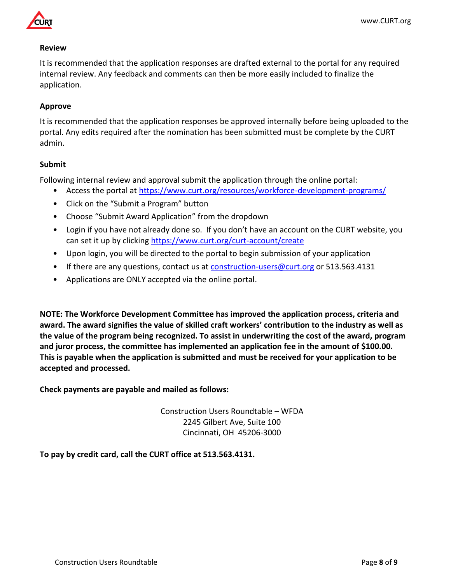



#### **Review**

It is recommended that the application responses are drafted external to the portal for any required internal review. Any feedback and comments can then be more easily included to finalize the application.

## **Approve**

It is recommended that the application responses be approved internally before being uploaded to the portal. Any edits required after the nomination has been submitted must be complete by the CURT admin.

## **Submit**

Following internal review and approval submit the application through the online portal:

- Access the portal at<https://www.curt.org/resources/workforce-development-programs/>
- Click on the "Submit a Program" button
- Choose "Submit Award Application" from the dropdown
- Login if you have not already done so. If you don't have an account on the CURT website, you can set it up by clicking<https://www.curt.org/curt-account/create>
- Upon login, you will be directed to the portal to begin submission of your application
- If there are any questions, contact us at [construction-users@curt.org](mailto:construction-users@curt.org) or 513.563.4131
- Applications are ONLY accepted via the online portal.

**NOTE: The Workforce Development Committee has improved the application process, criteria and award. The award signifies the value of skilled craft workers' contribution to the industry as well as the value of the program being recognized. To assist in underwriting the cost of the award, program and juror process, the committee has implemented an application fee in the amount of \$100.00. This is payable when the application is submitted and must be received for your application to be accepted and processed.** 

**Check payments are payable and mailed as follows:** 

Construction Users Roundtable – WFDA 2245 Gilbert Ave, Suite 100 Cincinnati, OH 45206-3000

**To pay by credit card, call the CURT office at 513.563.4131.**